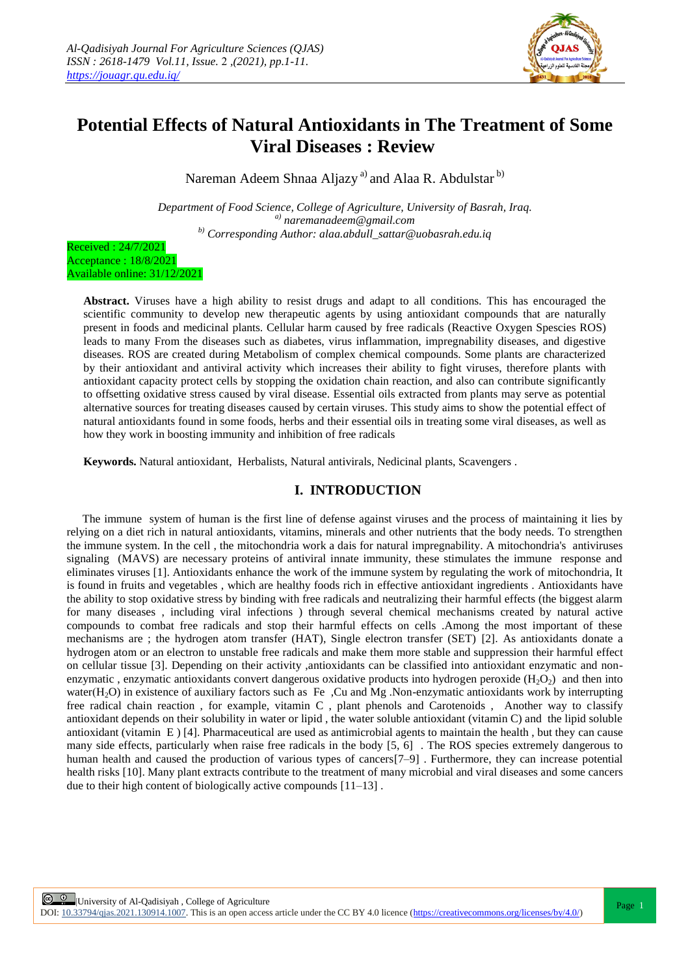

# **Potential Effects of Natural Antioxidants in The Treatment of Some Viral Diseases : Review**

Nareman Adeem Shnaa Aljazy<sup>a)</sup> and Alaa R. Abdulstar<sup>b)</sup>

*Department of Food Science, College of Agriculture, University of Basrah, Iraq. a) naremanadeem@gmail.com b) Corresponding Author: alaa.abdull\_sattar@uobasrah.edu.iq*

Received : 24/7/2021 Acceptance : 18/8/2021 Available online: 31/12/2021

> **Abstract.** Viruses have a high ability to resist drugs and adapt to all conditions. This has encouraged the scientific community to develop new therapeutic agents by using antioxidant compounds that are naturally present in foods and medicinal plants. Cellular harm caused by free radicals (Reactive Oxygen Spescies ROS) leads to many From the diseases such as diabetes, virus inflammation, impregnability diseases, and digestive diseases. ROS are created during Metabolism of complex chemical compounds. Some plants are characterized by their antioxidant and antiviral activity which increases their ability to fight viruses, therefore plants with antioxidant capacity protect cells by stopping the oxidation chain reaction, and also can contribute significantly to offsetting oxidative stress caused by viral disease. Essential oils extracted from plants may serve as potential alternative sources for treating diseases caused by certain viruses. This study aims to show the potential effect of natural antioxidants found in some foods, herbs and their essential oils in treating some viral diseases, as well as how they work in boosting immunity and inhibition of free radicals

**Keywords.** Natural antioxidant, Herbalists, Natural antivirals, Nedicinal plants, Scavengers .

# **I. INTRODUCTION**

The immune system of human is the first line of defense against viruses and the process of maintaining it lies by relying on a diet rich in natural antioxidants, vitamins, minerals and other nutrients that the body needs. To strengthen the immune system. In the cell , the mitochondria work a dais for natural impregnability. A mitochondria's antiviruses signaling (MAVS) are necessary proteins of antiviral innate immunity, these stimulates the immune response and eliminates viruses [1]. Antioxidants enhance the work of the immune system by regulating the work of mitochondria, It is found in fruits and vegetables , which are healthy foods rich in effective antioxidant ingredients . Antioxidants have the ability to stop oxidative stress by binding with free radicals and neutralizing their harmful effects (the biggest alarm for many diseases , including viral infections ) through several chemical mechanisms created by natural active compounds to combat free radicals and stop their harmful effects on cells .Among the most important of these mechanisms are ; the hydrogen atom transfer (HAT), Single electron transfer (SET) [2]. As antioxidants donate a hydrogen atom or an electron to unstable free radicals and make them more stable and suppression their harmful effect on cellular tissue [3]. Depending on their activity ,antioxidants can be classified into antioxidant enzymatic and nonenzymatic, enzymatic antioxidants convert dangerous oxidative products into hydrogen peroxide  $(H_2O_2)$  and then into water(H<sub>2</sub>O) in existence of auxiliary factors such as Fe ,Cu and Mg .Non-enzymatic antioxidants work by interrupting free radical chain reaction , for example, vitamin C , plant phenols and Carotenoids , Another way to classify antioxidant depends on their solubility in water or lipid , the water soluble antioxidant (vitamin C) and the lipid soluble antioxidant (vitamin E ) [4]. Pharmaceutical are used as antimicrobial agents to maintain the health , but they can cause many side effects, particularly when raise free radicals in the body [5, 6] . The ROS species extremely dangerous to human health and caused the production of various types of cancers[7–9] . Furthermore, they can increase potential health risks [10]. Many plant extracts contribute to the treatment of many microbial and viral diseases and some cancers due to their high content of biologically active compounds [11–13] .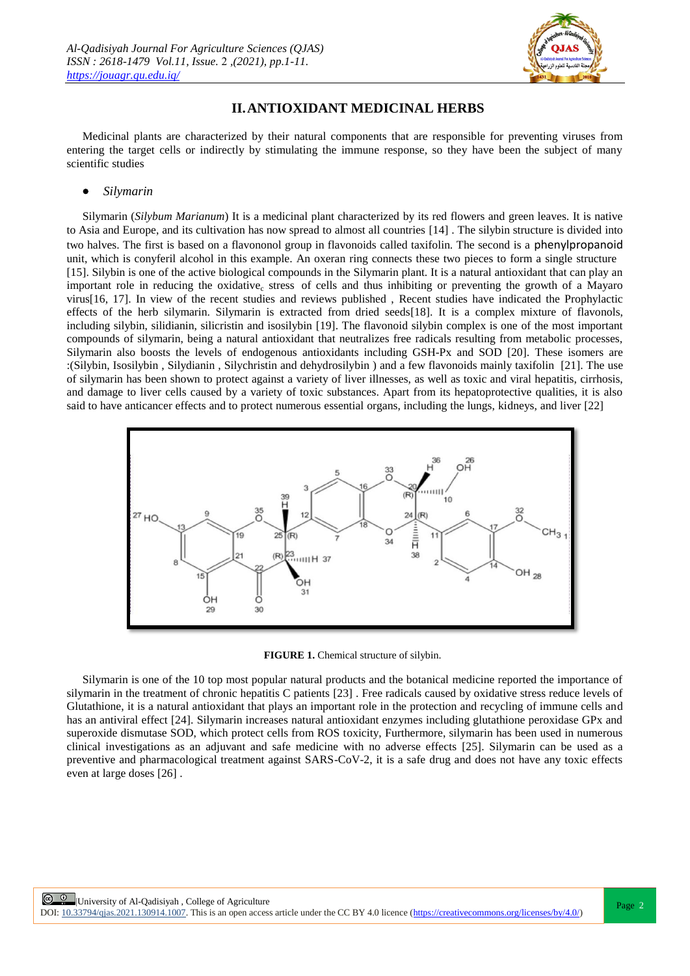

# **II.ANTIOXIDANT MEDICINAL HERBS**

Medicinal plants are characterized by their natural components that are responsible for preventing viruses from entering the target cells or indirectly by stimulating the immune response, so they have been the subject of many scientific studies

## *Silymarin*

Silymarin (*Silybum Marianum*) It is a medicinal plant characterized by its red flowers and green leaves. It is native to Asia and Europe, and its cultivation has now spread to almost all countries [14] . The silybin structure is divided into two halves. The first is based on a flavononol group in flavonoids called taxifolin. The second is a phenylpropanoid unit, which is conyferil alcohol in this example. An oxeran ring connects these two pieces to form a single structure [15]. Silybin is one of the active biological compounds in the Silymarin plant. It is a natural antioxidant that can play an important role in reducing the oxidative<sub>c</sub> stress of cells and thus inhibiting or preventing the growth of a Mayaro virus[16, 17]. In view of the recent studies and reviews published , Recent studies have indicated the Prophylactic effects of the herb silymarin. Silymarin is extracted from dried seeds[18]. It is a complex mixture of flavonols, including silybin, silidianin, silicristin and isosilybin [19]. The flavonoid silybin complex is one of the most important compounds of silymarin, being a natural antioxidant that neutralizes free radicals resulting from metabolic processes, Silymarin also boosts the levels of endogenous antioxidants including GSH-Px and SOD [20]. These isomers are :(Silybin, Isosilybin , Silydianin , Silychristin and dehydrosilybin ) and a few flavonoids mainly taxifolin [21]. The use of silymarin has been shown to protect against a variety of liver illnesses, as well as toxic and viral hepatitis, cirrhosis, and damage to liver cells caused by a variety of toxic substances. Apart from its hepatoprotective qualities, it is also said to have anticancer effects and to protect numerous essential organs, including the lungs, kidneys, and liver [22]



#### **[FIGURE 1](https://www.ncbi.nlm.nih.gov/pmc/articles/PMC6150307/figure/molecules-22-01942-f002/).** Chemical structure of silybin.

Silymarin is one of the 10 top most popular natural products and the botanical medicine reported the importance of silymarin in the treatment of chronic hepatitis C patients [23] . Free radicals caused by oxidative stress reduce levels of Glutathione, it is a natural antioxidant that plays an important role in the protection and recycling of immune cells and has an antiviral effect [24]. Silymarin increases natural antioxidant enzymes including glutathione peroxidase GPx and superoxide dismutase SOD, which protect cells from ROS toxicity, Furthermore, silymarin has been used in numerous clinical investigations as an adjuvant and safe medicine with no adverse effects [25]. Silymarin can be used as a preventive and pharmacological treatment against SARS-CoV-2, it is a safe drug and does not have any toxic effects even at large doses [26] .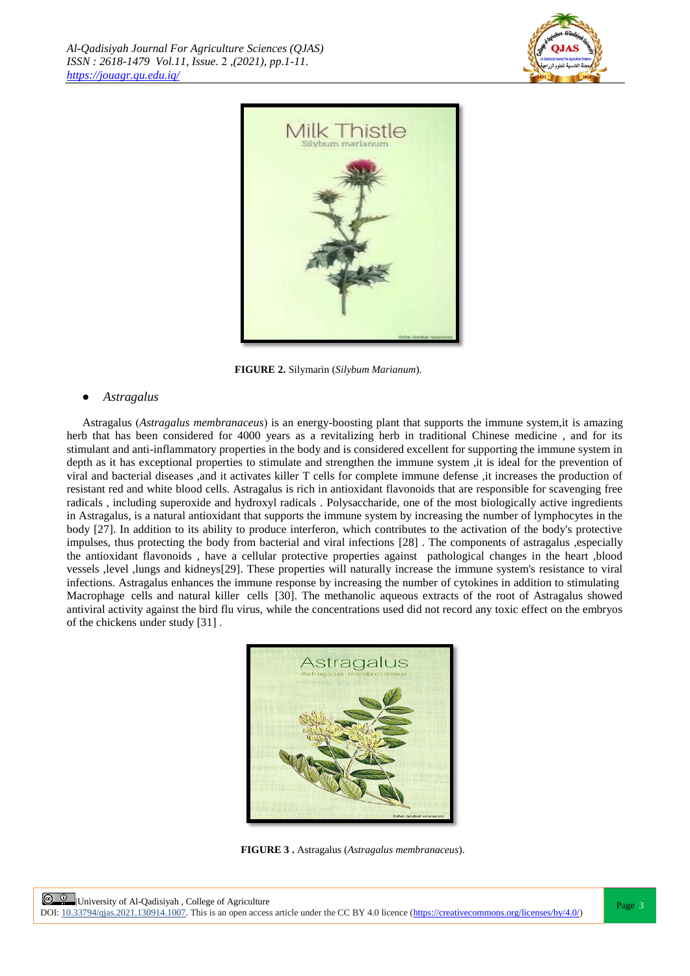



**[FIGURE](https://www.ncbi.nlm.nih.gov/pmc/articles/PMC6150307/figure/molecules-22-01942-f002/) 2.** Silymarin (*Silybum Marianum*).

## *Astragalus*

Astragalus )*Astragalus membranaceus*( is an energy-boosting plant that supports the immune system,it is amazing herb that has been considered for 4000 years as a revitalizing herb in traditional Chinese medicine, and for its stimulant and anti-inflammatory properties in the body and is considered excellent for supporting the immune system in depth as it has exceptional properties to stimulate and strengthen the immune system ,it is ideal for the prevention of viral and bacterial diseases ,and it activates killer T cells for complete immune defense ,it increases the production of resistant red and white blood cells. Astragalus is rich in antioxidant flavonoids that are responsible for scavenging free radicals , including superoxide and hydroxyl radicals . Polysaccharide, one of the most biologically active ingredients in Astragalus, is a natural antioxidant that supports the immune system by increasing the number of lymphocytes in the body [27]. In addition to its ability to produce interferon, which contributes to the activation of the body's protective impulses, thus protecting the body from bacterial and viral infections [28] . The components of astragalus ,especially the antioxidant flavonoids , have a cellular protective properties against pathological changes in the heart ,blood vessels ,level ,lungs and kidneys[29]. These properties will naturally increase the immune system's resistance to viral infections. Astragalus enhances the immune response by increasing the number of cytokines in addition to stimulating Macrophage cells and natural killer cells [30]. The methanolic aqueous extracts of the root of Astragalus showed antiviral activity against the bird flu virus, while the concentrations used did not record any toxic effect on the embryos of the chickens under study [31] .



**[FIGURE 3](https://www.ncbi.nlm.nih.gov/pmc/articles/PMC6150307/figure/molecules-22-01942-f002/) .** Astragalus (*Astragalus membranaceus*).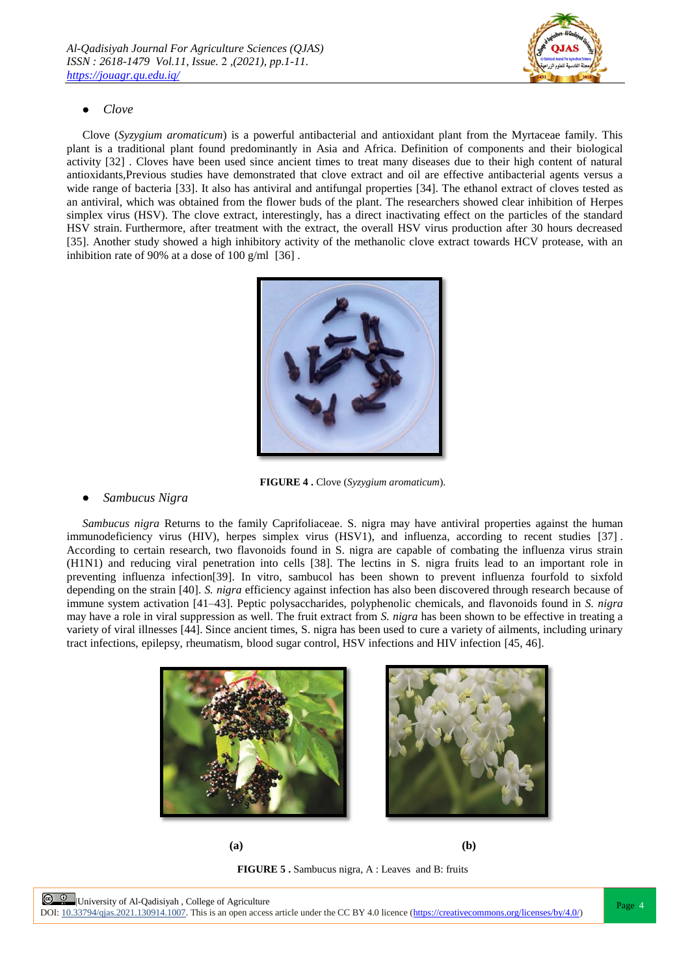

## *Clove*

Clove (*Syzygium aromaticum*) is a powerful antibacterial and antioxidant plant from the Myrtaceae family. This plant is a traditional plant found predominantly in Asia and Africa. Definition of components and their biological activity [32] . Cloves have been used since ancient times to treat many diseases due to their high content of natural antioxidants,Previous studies have demonstrated that clove extract and oil are effective antibacterial agents versus a wide range of bacteria [33]. It also has antiviral and antifungal properties [34]. The ethanol extract of cloves tested as an antiviral, which was obtained from the flower buds of the plant. The researchers showed clear inhibition of Herpes simplex virus (HSV). The clove extract, interestingly, has a direct inactivating effect on the particles of the standard HSV strain. Furthermore, after treatment with the extract, the overall HSV virus production after 30 hours decreased [35]. Another study showed a high inhibitory activity of the methanolic clove extract towards HCV protease, with an inhibition rate of 90% at a dose of 100 g/ml [36] .



**[FIGURE 4](https://www.ncbi.nlm.nih.gov/pmc/articles/PMC6150307/figure/molecules-22-01942-f002/) .** Clove (*Syzygium aromaticum*).

## *Sambucus Nigra*

*Sambucus nigra* Returns to the family Caprifoliaceae. S. nigra may have antiviral properties against the human immunodeficiency virus (HIV), herpes simplex virus (HSV1), and influenza, according to recent studies [37] . According to certain research, two flavonoids found in S. nigra are capable of combating the influenza virus strain (H1N1) and reducing viral penetration into cells [38]. The lectins in S. nigra fruits lead to an important role in preventing influenza infection[39]. In vitro, sambucol has been shown to prevent influenza fourfold to sixfold depending on the strain [40]. *S. nigra* efficiency against infection has also been discovered through research because of immune system activation [41–43]. Peptic polysaccharides, polyphenolic chemicals, and flavonoids found in *S. nigra* may have a role in viral suppression as well. The fruit extract from *S. nigra* has been shown to be effective in treating a variety of viral illnesses [44]. Since ancient times, S. nigra has been used to cure a variety of ailments, including urinary tract infections, epilepsy, rheumatism, blood sugar control, HSV infections and HIV infection [45, 46].





**(a) (b) [FIGURE 5](https://www.ncbi.nlm.nih.gov/pmc/articles/PMC6150307/figure/molecules-22-01942-f002/) .** Sambucus nigra, A : Leaves and B: fruits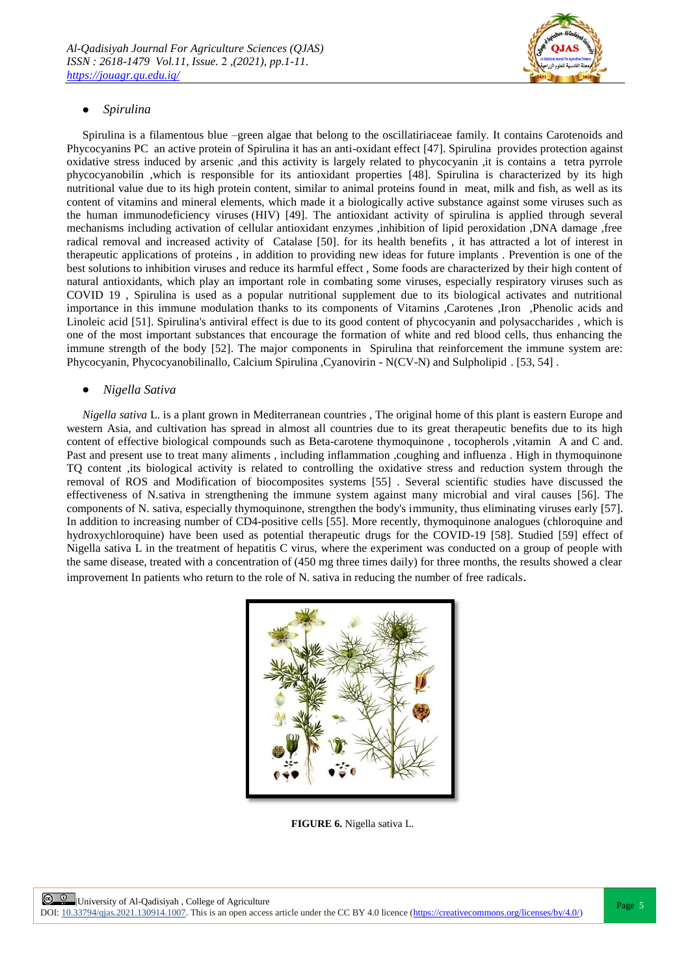

## *Spirulina*

Spirulina is a filamentous blue –green algae that belong to the oscillatiriaceae family. It contains Carotenoids and Phycocyanins PC an active protein of Spirulina it has an anti-oxidant effect [47]. Spirulina provides protection against oxidative stress induced by arsenic ,and this activity is largely related to phycocyanin ,it is contains a tetra pyrrole phycocyanobilin ,which is responsible for its antioxidant properties [48]. Spirulina is characterized by its high nutritional value due to its high protein content, similar to animal proteins found in meat, milk and fish, as well as its content of vitamins and mineral elements, which made it a biologically active substance against some viruses such as the human immunodeficiency viruses (HIV) [49]. The antioxidant activity of spirulina is applied through several mechanisms including activation of cellular antioxidant enzymes ,inhibition of lipid peroxidation ,DNA damage ,free radical removal and increased activity of Catalase [50]. for its health benefits , it has attracted a lot of interest in therapeutic applications of proteins , in addition to providing new ideas for future implants . Prevention is one of the best solutions to inhibition viruses and reduce its harmful effect , Some foods are characterized by their high content of natural antioxidants, which play an important role in combating some viruses, especially respiratory viruses such as COVID 19 , Spirulina is used as a popular nutritional supplement due to its biological activates and nutritional importance in this immune modulation thanks to its components of Vitamins ,Carotenes ,Iron ,Phenolic acids and Linoleic acid [51]. Spirulina's antiviral effect is due to its good content of phycocyanin and polysaccharides, which is one of the most important substances that encourage the formation of white and red blood cells, thus enhancing the immune strength of the body [52]. The major components in Spirulina that reinforcement the immune system are: Phycocyanin, Phycocyanobilinallo, Calcium Spirulina ,Cyanovirin - N(CV-N) and Sulpholipid. [53, 54].

## *Nigella Sativa*

*Nigella sativa* L. is a plant grown in Mediterranean countries, The original home of this plant is eastern Europe and western Asia, and cultivation has spread in almost all countries due to its great therapeutic benefits due to its high content of effective biological compounds such as Beta-carotene thymoquinone, tocopherols, vitamin A and C and. Past and present use to treat many aliments , including inflammation ,coughing and influenza . High in thymoquinone TQ content ,its biological activity is related to controlling the oxidative stress and reduction system through the removal of ROS and Modification of biocomposites systems [55] . Several scientific studies have discussed the effectiveness of N.sativa in strengthening the immune system against many microbial and viral causes [56]. The components of N. sativa, especially thymoquinone, strengthen the body's immunity, thus eliminating viruses early [57]. In addition to increasing number of CD4-positive cells [55]. More recently, thymoquinone analogues (chloroquine and hydroxychloroquine) have been used as potential therapeutic drugs for the COVID-19 [58]. Studied [59] effect of Nigella sativa L in the treatment of hepatitis C virus, where the experiment was conducted on a group of people with the same disease, treated with a concentration of (450 mg three times daily) for three months, the results showed a clear improvement In patients who return to the role of N. sativa in reducing the number of free radicals.



**FIGURE 6.** Nigella sativa L.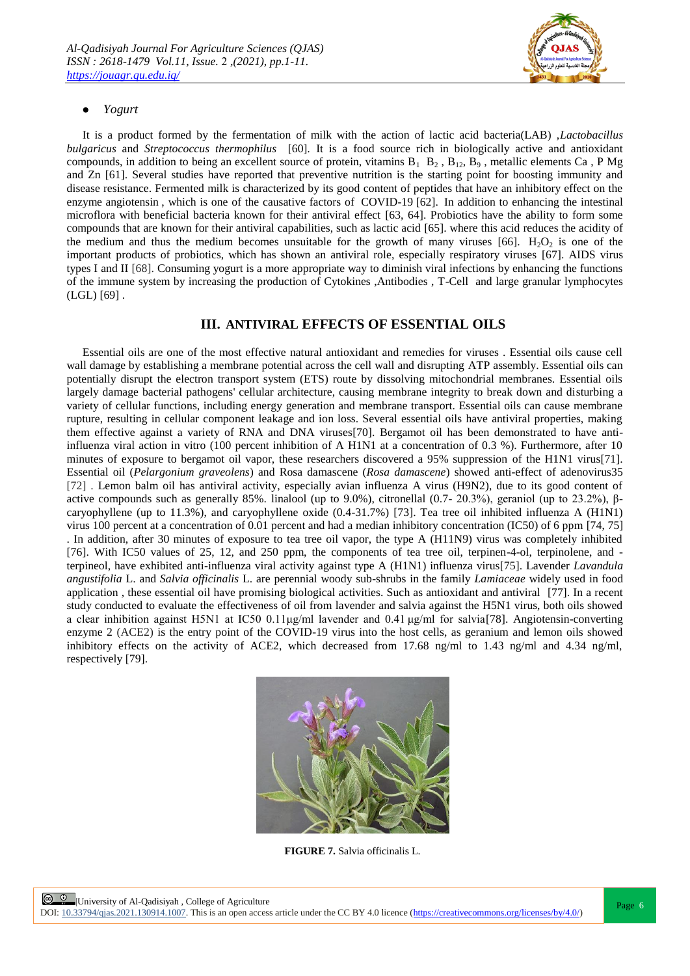

## *Yogurt*

It is a product formed by the fermentation of milk with the action of lactic acid bacteria(LAB) ,*Lactobacillus bulgaricus* and *Streptococcus thermophilus* [60]*.* It is a food source rich in biologically active and antioxidant compounds, in addition to being an excellent source of protein, vitamins  $B_1$   $B_2$ ,  $B_{12}$ ,  $B_9$ , metallic elements Ca, P Mg and Zn [61]. Several studies have reported that preventive nutrition is the starting point for boosting immunity and disease resistance. Fermented milk is characterized by its good content of peptides that have an inhibitory effect on the enzyme angiotensin , which is one of the causative factors of COVID-19 [62]. In addition to enhancing the intestinal microflora with beneficial bacteria known for their antiviral effect [63, 64]. Probiotics have the ability to form some compounds that are known for their antiviral capabilities, such as lactic acid [65]. where this acid reduces the acidity of the medium and thus the medium becomes unsuitable for the growth of many viruses [66].  $H_2O_2$  is one of the important products of probiotics, which has shown an antiviral role, especially respiratory viruses [67]. AIDS virus types I and II [68]. Consuming yogurt is a more appropriate way to diminish viral infections by enhancing the functions of the immune system by increasing the production of Cytokines ,Antibodies , T-Cell and large granular lymphocytes  $(LGL)$  [69].

## **III. ANTIVIRAL EFFECTS OF ESSENTIAL OILS**

Essential oils are one of the most effective natural antioxidant and remedies for viruses . Essential oils cause cell wall damage by establishing a membrane potential across the cell wall and disrupting ATP assembly. Essential oils can potentially disrupt the electron transport system (ETS) route by dissolving mitochondrial membranes. Essential oils largely damage bacterial pathogens' cellular architecture, causing membrane integrity to break down and disturbing a variety of cellular functions, including energy generation and membrane transport. Essential oils can cause membrane rupture, resulting in cellular component leakage and ion loss. Several essential oils have antiviral properties, making them effective against a variety of RNA and DNA viruses[70]. Bergamot oil has been demonstrated to have antiinfluenza viral action in vitro (100 percent inhibition of A H1N1 at a concentration of 0.3 %). Furthermore, after 10 minutes of exposure to bergamot oil vapor, these researchers discovered a 95% suppression of the H1N1 virus[71]. Essential oil (*Pelargonium graveolens*) and Rosa damascene (*Rosa damascene*) showed anti-effect of adenovirus35 [72] . Lemon balm oil has antiviral activity, especially avian influenza A virus (H9N2), due to its good content of active compounds such as generally 85%. linalool (up to 9.0%), citronellal (0.7- 20.3%), geraniol (up to 23.2%), βcaryophyllene (up to 11.3%), and caryophyllene oxide (0.4-31.7%) [73]. Tea tree oil inhibited influenza A (H1N1) virus 100 percent at a concentration of 0.01 percent and had a median inhibitory concentration (IC50) of 6 ppm [74, 75] . In addition, after 30 minutes of exposure to tea tree oil vapor, the type A (H11N9) virus was completely inhibited [76]. With IC50 values of 25, 12, and 250 ppm, the components of tea tree oil, terpinen-4-ol, terpinolene, and terpineol, have exhibited anti-influenza viral activity against type A (H1N1) influenza virus[75]. Lavender *Lavandula angustifolia* L. and *Salvia officinalis* L. are perennial woody sub-shrubs in the family *Lamiaceae* widely used in food application , these essential oil have promising biological activities. Such as antioxidant and antiviral [77]. In a recent study conducted to evaluate the effectiveness of oil from lavender and salvia against the H5N1 virus, both oils showed a clear inhibition against H5N1 at IC50 0.11μg/ml lavender and 0.41 μg/ml for salvia[78]. Angiotensin-converting enzyme 2 (ACE2) is the entry point of the COVID-19 virus into the host cells, as geranium and lemon oils showed inhibitory effects on the activity of ACE2, which decreased from 17.68 ng/ml to 1.43 ng/ml and 4.34 ng/ml, respectively [79].



**[FIGURE 7](https://www.ncbi.nlm.nih.gov/pmc/articles/PMC6150307/figure/molecules-22-01942-f002/).** Salvia officinalis L.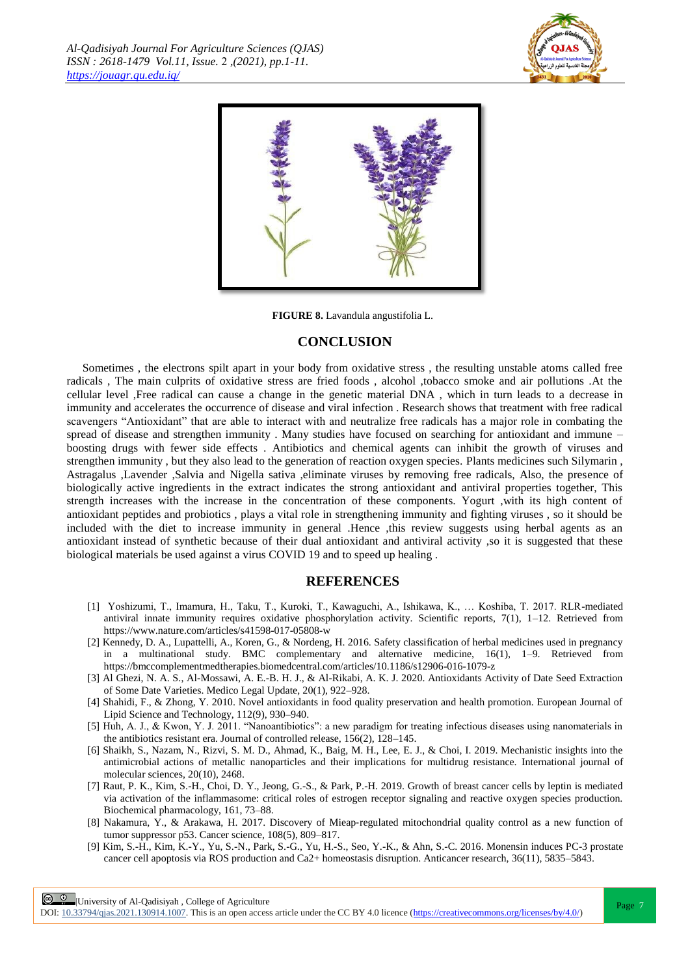



**FIGURE 8.** Lavandula angustifolia L.

## **CONCLUSION**

Sometimes , the electrons spilt apart in your body from oxidative stress , the resulting unstable atoms called free radicals , The main culprits of oxidative stress are fried foods , alcohol ,tobacco smoke and air pollutions .At the cellular level ,Free radical can cause a change in the genetic material DNA , which in turn leads to a decrease in immunity and accelerates the occurrence of disease and viral infection . Research shows that treatment with free radical scavengers "Antioxidant" that are able to interact with and neutralize free radicals has a major role in combating the spread of disease and strengthen immunity . Many studies have focused on searching for antioxidant and immune – boosting drugs with fewer side effects . Antibiotics and chemical agents can inhibit the growth of viruses and strengthen immunity , but they also lead to the generation of reaction oxygen species. Plants medicines such Silymarin , Astragalus ,Lavender ,Salvia and Nigella sativa ,eliminate viruses by removing free radicals, Also, the presence of biologically active ingredients in the extract indicates the strong antioxidant and antiviral properties together, This strength increases with the increase in the concentration of these components. Yogurt ,with its high content of antioxidant peptides and probiotics , plays a vital role in strengthening immunity and fighting viruses , so it should be included with the diet to increase immunity in general .Hence ,this review suggests using herbal agents as an antioxidant instead of synthetic because of their dual antioxidant and antiviral activity ,so it is suggested that these biological materials be used against a virus COVID 19 and to speed up healing .

## **REFERENCES**

- [1] Yoshizumi, T., Imamura, H., Taku, T., Kuroki, T., Kawaguchi, A., Ishikawa, K., … Koshiba, T. 2017. RLR-mediated antiviral innate immunity requires oxidative phosphorylation activity. Scientific reports, 7(1), 1–12. Retrieved from https://www.nature.com/articles/s41598-017-05808-w
- [2] Kennedy, D. A., Lupattelli, A., Koren, G., & Nordeng, H. 2016. Safety classification of herbal medicines used in pregnancy in a multinational study. BMC complementary and alternative medicine, 16(1), 1–9. Retrieved from https://bmccomplementmedtherapies.biomedcentral.com/articles/10.1186/s12906-016-1079-z
- [3] Al Ghezi, N. A. S., Al-Mossawi, A. E.-B. H. J., & Al-Rikabi, A. K. J. 2020. Antioxidants Activity of Date Seed Extraction of Some Date Varieties. Medico Legal Update, 20(1), 922–928.
- [4] Shahidi, F., & Zhong, Y. 2010. Novel antioxidants in food quality preservation and health promotion. European Journal of Lipid Science and Technology, 112(9), 930–940.
- [5] Huh, A. J., & Kwon, Y. J. 2011. "Nanoantibiotics": a new paradigm for treating infectious diseases using nanomaterials in the antibiotics resistant era. Journal of controlled release, 156(2), 128–145.
- [6] Shaikh, S., Nazam, N., Rizvi, S. M. D., Ahmad, K., Baig, M. H., Lee, E. J., & Choi, I. 2019. Mechanistic insights into the antimicrobial actions of metallic nanoparticles and their implications for multidrug resistance. International journal of molecular sciences, 20(10), 2468.
- [7] Raut, P. K., Kim, S.-H., Choi, D. Y., Jeong, G.-S., & Park, P.-H. 2019. Growth of breast cancer cells by leptin is mediated via activation of the inflammasome: critical roles of estrogen receptor signaling and reactive oxygen species production. Biochemical pharmacology, 161, 73–88.
- [8] Nakamura, Y., & Arakawa, H. 2017. Discovery of Mieap-regulated mitochondrial quality control as a new function of tumor suppressor p53. Cancer science, 108(5), 809–817.
- [9] Kim, S.-H., Kim, K.-Y., Yu, S.-N., Park, S.-G., Yu, H.-S., Seo, Y.-K., & Ahn, S.-C. 2016. Monensin induces PC-3 prostate cancer cell apoptosis via ROS production and Ca2+ homeostasis disruption. Anticancer research, 36(11), 5835–5843.

**E 0** University of Al-Qadisiyah, College of Agriculture

DOI:  $10.33794/q$ jas.2021.130914.1007. This is an open access article under the CC BY 4.0 licence (https://creativecommons.org/licenses/by/4.0/)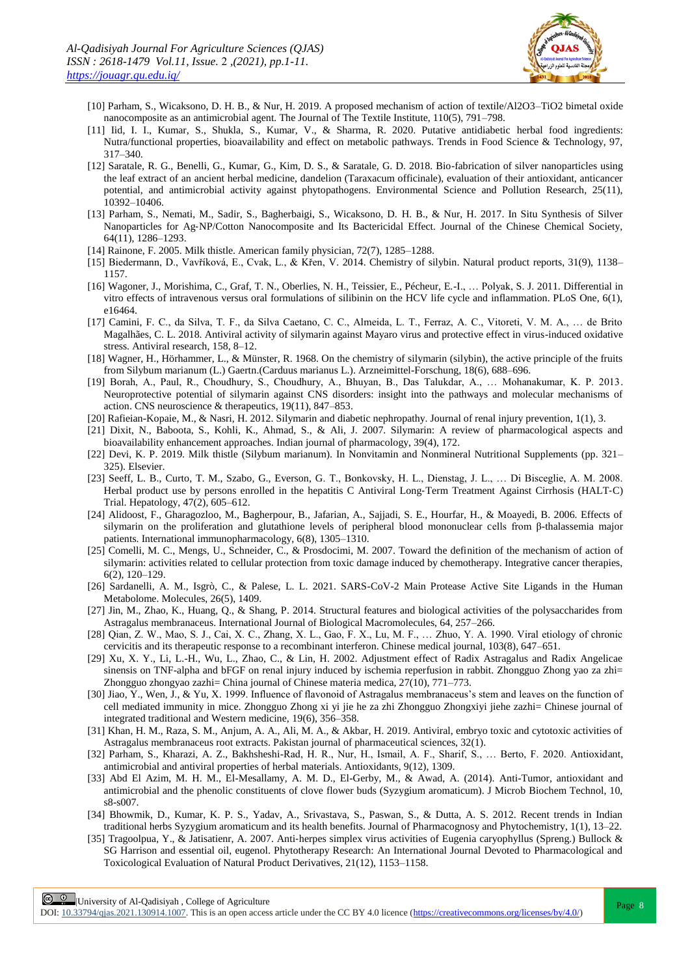

- [10] Parham, S., Wicaksono, D. H. B., & Nur, H. 2019. A proposed mechanism of action of textile/Al2O3–TiO2 bimetal oxide nanocomposite as an antimicrobial agent. The Journal of The Textile Institute, 110(5), 791–798.
- [11] Iid, I. I., Kumar, S., Shukla, S., Kumar, V., & Sharma, R. 2020. Putative antidiabetic herbal food ingredients: Nutra/functional properties, bioavailability and effect on metabolic pathways. Trends in Food Science & Technology, 97, 317–340.
- [12] Saratale, R. G., Benelli, G., Kumar, G., Kim, D. S., & Saratale, G. D. 2018. Bio-fabrication of silver nanoparticles using the leaf extract of an ancient herbal medicine, dandelion (Taraxacum officinale), evaluation of their antioxidant, anticancer potential, and antimicrobial activity against phytopathogens. Environmental Science and Pollution Research, 25(11), 10392–10406.
- [13] Parham, S., Nemati, M., Sadir, S., Bagherbaigi, S., Wicaksono, D. H. B., & Nur, H. 2017. In Situ Synthesis of Silver Nanoparticles for Ag‐NP/Cotton Nanocomposite and Its Bactericidal Effect. Journal of the Chinese Chemical Society, 64(11), 1286–1293.
- [14] Rainone, F. 2005. Milk thistle. American family physician, 72(7), 1285–1288.
- [15] Biedermann, D., Vavříková, E., Cvak, L., & Křen, V. 2014. Chemistry of silybin. Natural product reports, 31(9), 1138– 1157.
- [16] Wagoner, J., Morishima, C., Graf, T. N., Oberlies, N. H., Teissier, E., Pécheur, E.-I., … Polyak, S. J. 2011. Differential in vitro effects of intravenous versus oral formulations of silibinin on the HCV life cycle and inflammation. PLoS One, 6(1), e16464.
- [17] Camini, F. C., da Silva, T. F., da Silva Caetano, C. C., Almeida, L. T., Ferraz, A. C., Vitoreti, V. M. A., … de Brito Magalhães, C. L. 2018. Antiviral activity of silymarin against Mayaro virus and protective effect in virus-induced oxidative stress. Antiviral research, 158, 8–12.
- [18] Wagner, H., Hörhammer, L., & Münster, R. 1968. On the chemistry of silymarin (silybin), the active principle of the fruits from Silybum marianum (L.) Gaertn.(Carduus marianus L.). Arzneimittel-Forschung, 18(6), 688–696.
- [19] Borah, A., Paul, R., Choudhury, S., Choudhury, A., Bhuyan, B., Das Talukdar, A., … Mohanakumar, K. P. 2013. Neuroprotective potential of silymarin against CNS disorders: insight into the pathways and molecular mechanisms of action. CNS neuroscience & therapeutics, 19(11), 847–853.
- [20] Rafieian-Kopaie, M., & Nasri, H. 2012. Silymarin and diabetic nephropathy. Journal of renal injury prevention, 1(1), 3.
- [21] Dixit, N., Baboota, S., Kohli, K., Ahmad, S., & Ali, J. 2007. Silymarin: A review of pharmacological aspects and bioavailability enhancement approaches. Indian journal of pharmacology, 39(4), 172.
- [22] Devi, K. P. 2019. Milk thistle (Silybum marianum). In Nonvitamin and Nonmineral Nutritional Supplements (pp. 321– 325). Elsevier.
- [23] Seeff, L. B., Curto, T. M., Szabo, G., Everson, G. T., Bonkovsky, H. L., Dienstag, J. L., … Di Bisceglie, A. M. 2008. Herbal product use by persons enrolled in the hepatitis C Antiviral Long‐Term Treatment Against Cirrhosis (HALT‐C) Trial. Hepatology, 47(2), 605–612.
- [24] Alidoost, F., Gharagozloo, M., Bagherpour, B., Jafarian, A., Sajjadi, S. E., Hourfar, H., & Moayedi, B. 2006. Effects of silymarin on the proliferation and glutathione levels of peripheral blood mononuclear cells from β-thalassemia major patients. International immunopharmacology, 6(8), 1305–1310.
- [25] Comelli, M. C., Mengs, U., Schneider, C., & Prosdocimi, M. 2007. Toward the definition of the mechanism of action of silymarin: activities related to cellular protection from toxic damage induced by chemotherapy. Integrative cancer therapies, 6(2), 120–129.
- [26] Sardanelli, A. M., Isgrò, C., & Palese, L. L. 2021. SARS-CoV-2 Main Protease Active Site Ligands in the Human Metabolome. Molecules, 26(5), 1409.
- [27] Jin, M., Zhao, K., Huang, Q., & Shang, P. 2014. Structural features and biological activities of the polysaccharides from Astragalus membranaceus. International Journal of Biological Macromolecules, 64, 257–266.
- [28] Qian, Z. W., Mao, S. J., Cai, X. C., Zhang, X. L., Gao, F. X., Lu, M. F., … Zhuo, Y. A. 1990. Viral etiology of chronic cervicitis and its therapeutic response to a recombinant interferon. Chinese medical journal, 103(8), 647–651.
- [29] Xu, X. Y., Li, L.-H., Wu, L., Zhao, C., & Lin, H. 2002. Adjustment effect of Radix Astragalus and Radix Angelicae sinensis on TNF-alpha and bFGF on renal injury induced by ischemia reperfusion in rabbit. Zhongguo Zhong yao za zhi= Zhongguo zhongyao zazhi= China journal of Chinese materia medica, 27(10), 771–773.
- [30] Jiao, Y., Wen, J., & Yu, X. 1999. Influence of flavonoid of Astragalus membranaceus's stem and leaves on the function of cell mediated immunity in mice. Zhongguo Zhong xi yi jie he za zhi Zhongguo Zhongxiyi jiehe zazhi= Chinese journal of integrated traditional and Western medicine, 19(6), 356–358.
- [31] Khan, H. M., Raza, S. M., Anjum, A. A., Ali, M. A., & Akbar, H. 2019. Antiviral, embryo toxic and cytotoxic activities of Astragalus membranaceus root extracts. Pakistan journal of pharmaceutical sciences, 32(1).
- [32] Parham, S., Kharazi, A. Z., Bakhsheshi-Rad, H. R., Nur, H., Ismail, A. F., Sharif, S., … Berto, F. 2020. Antioxidant, antimicrobial and antiviral properties of herbal materials. Antioxidants, 9(12), 1309.
- [33] Abd El Azim, M. H. M., El-Mesallamy, A. M. D., El-Gerby, M., & Awad, A. (2014). Anti-Tumor, antioxidant and antimicrobial and the phenolic constituents of clove flower buds (Syzygium aromaticum). J Microb Biochem Technol, 10, s8-s007.
- [34] Bhowmik, D., Kumar, K. P. S., Yadav, A., Srivastava, S., Paswan, S., & Dutta, A. S. 2012. Recent trends in Indian traditional herbs Syzygium aromaticum and its health benefits. Journal of Pharmacognosy and Phytochemistry, 1(1), 13–22.
- [35] Tragoolpua, Y., & Jatisatienr, A. 2007. Anti-herpes simplex virus activities of Eugenia caryophyllus (Spreng.) Bullock & SG Harrison and essential oil, eugenol. Phytotherapy Research: An International Journal Devoted to Pharmacological and Toxicological Evaluation of Natural Product Derivatives, 21(12), 1153–1158.

**E 0** University of Al-Qadisiyah, College of Agriculture

DOI:  $10.33794/q$ jas.2021.130914.1007. This is an open access article under the CC BY 4.0 licence (https://creativecommons.org/licenses/by/4.0/)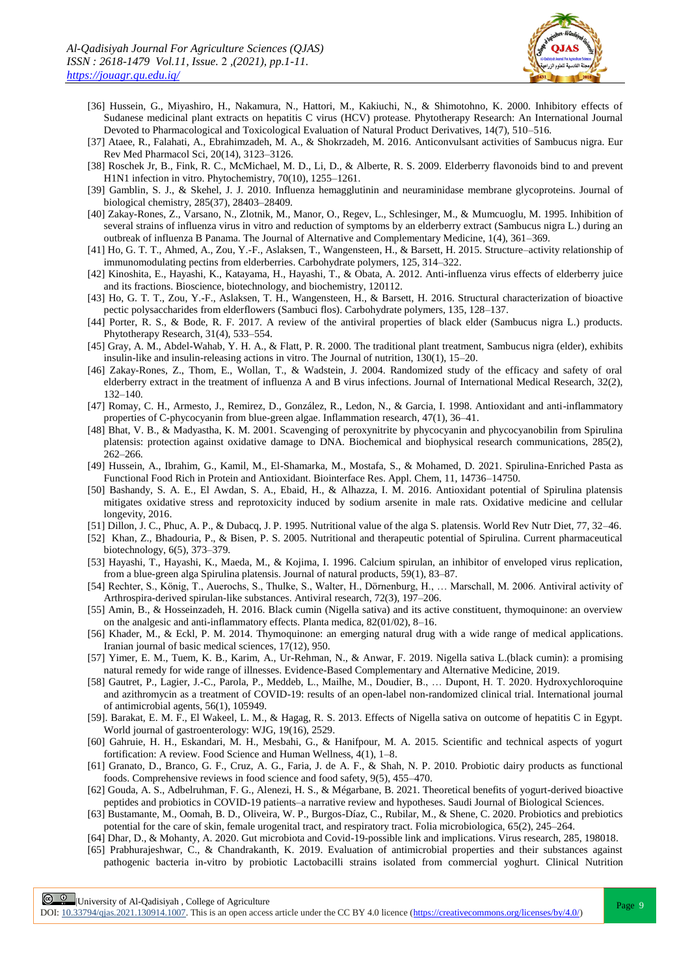

- [36] Hussein, G., Miyashiro, H., Nakamura, N., Hattori, M., Kakiuchi, N., & Shimotohno, K. 2000. Inhibitory effects of Sudanese medicinal plant extracts on hepatitis C virus (HCV) protease. Phytotherapy Research: An International Journal Devoted to Pharmacological and Toxicological Evaluation of Natural Product Derivatives, 14(7), 510–516.
- [37] Ataee, R., Falahati, A., Ebrahimzadeh, M. A., & Shokrzadeh, M. 2016. Anticonvulsant activities of Sambucus nigra. Eur Rev Med Pharmacol Sci, 20(14), 3123–3126.
- [38] Roschek Jr, B., Fink, R. C., McMichael, M. D., Li, D., & Alberte, R. S. 2009. Elderberry flavonoids bind to and prevent H1N1 infection in vitro. Phytochemistry, 70(10), 1255–1261.
- [39] Gamblin, S. J., & Skehel, J. J. 2010. Influenza hemagglutinin and neuraminidase membrane glycoproteins. Journal of biological chemistry, 285(37), 28403–28409.
- [40] Zakay-Rones, Z., Varsano, N., Zlotnik, M., Manor, O., Regev, L., Schlesinger, M., & Mumcuoglu, M. 1995. Inhibition of several strains of influenza virus in vitro and reduction of symptoms by an elderberry extract (Sambucus nigra L.) during an outbreak of influenza B Panama. The Journal of Alternative and Complementary Medicine, 1(4), 361–369.
- [41] Ho, G. T. T., Ahmed, A., Zou, Y.-F., Aslaksen, T., Wangensteen, H., & Barsett, H. 2015. Structure–activity relationship of immunomodulating pectins from elderberries. Carbohydrate polymers, 125, 314–322.
- [42] Kinoshita, E., Hayashi, K., Katayama, H., Hayashi, T., & Obata, A. 2012. Anti-influenza virus effects of elderberry juice and its fractions. Bioscience, biotechnology, and biochemistry, 120112.
- [43] Ho, G. T. T., Zou, Y.-F., Aslaksen, T. H., Wangensteen, H., & Barsett, H. 2016. Structural characterization of bioactive pectic polysaccharides from elderflowers (Sambuci flos). Carbohydrate polymers, 135, 128–137.
- [44] Porter, R. S., & Bode, R. F. 2017. A review of the antiviral properties of black elder (Sambucus nigra L.) products. Phytotherapy Research, 31(4), 533–554.
- [45] Gray, A. M., Abdel-Wahab, Y. H. A., & Flatt, P. R. 2000. The traditional plant treatment, Sambucus nigra (elder), exhibits insulin-like and insulin-releasing actions in vitro. The Journal of nutrition, 130(1), 15–20.
- [46] Zakay-Rones, Z., Thom, E., Wollan, T., & Wadstein, J. 2004. Randomized study of the efficacy and safety of oral elderberry extract in the treatment of influenza A and B virus infections. Journal of International Medical Research, 32(2), 132–140.
- [47] Romay, C. H., Armesto, J., Remirez, D., González, R., Ledon, N., & Garcia, I. 1998. Antioxidant and anti-inflammatory properties of C-phycocyanin from blue-green algae. Inflammation research, 47(1), 36–41.
- [48] Bhat, V. B., & Madyastha, K. M. 2001. Scavenging of peroxynitrite by phycocyanin and phycocyanobilin from Spirulina platensis: protection against oxidative damage to DNA. Biochemical and biophysical research communications, 285(2), 262–266.
- [49] Hussein, A., Ibrahim, G., Kamil, M., El-Shamarka, M., Mostafa, S., & Mohamed, D. 2021. Spirulina-Enriched Pasta as Functional Food Rich in Protein and Antioxidant. Biointerface Res. Appl. Chem, 11, 14736–14750.
- [50] Bashandy, S. A. E., El Awdan, S. A., Ebaid, H., & Alhazza, I. M. 2016. Antioxidant potential of Spirulina platensis mitigates oxidative stress and reprotoxicity induced by sodium arsenite in male rats. Oxidative medicine and cellular longevity, 2016.
- [51] Dillon, J. C., Phuc, A. P., & Dubacq, J. P. 1995. Nutritional value of the alga S. platensis. World Rev Nutr Diet, 77, 32–46.
- [52] Khan, Z., Bhadouria, P., & Bisen, P. S. 2005. Nutritional and therapeutic potential of Spirulina. Current pharmaceutical biotechnology, 6(5), 373–379.
- [53] Hayashi, T., Hayashi, K., Maeda, M., & Kojima, I. 1996. Calcium spirulan, an inhibitor of enveloped virus replication, from a blue-green alga Spirulina platensis. Journal of natural products, 59(1), 83–87.
- [54] Rechter, S., König, T., Auerochs, S., Thulke, S., Walter, H., Dörnenburg, H., … Marschall, M. 2006. Antiviral activity of Arthrospira-derived spirulan-like substances. Antiviral research, 72(3), 197–206.
- [55] Amin, B., & Hosseinzadeh, H. 2016. Black cumin (Nigella sativa) and its active constituent, thymoquinone: an overview on the analgesic and anti-inflammatory effects. Planta medica, 82(01/02), 8–16.
- [56] Khader, M., & Eckl, P. M. 2014. Thymoquinone: an emerging natural drug with a wide range of medical applications. Iranian journal of basic medical sciences, 17(12), 950.
- [57] Yimer, E. M., Tuem, K. B., Karim, A., Ur-Rehman, N., & Anwar, F. 2019. Nigella sativa L.(black cumin): a promising natural remedy for wide range of illnesses. Evidence-Based Complementary and Alternative Medicine, 2019.
- [58] Gautret, P., Lagier, J.-C., Parola, P., Meddeb, L., Mailhe, M., Doudier, B., … Dupont, H. T. 2020. Hydroxychloroquine and azithromycin as a treatment of COVID-19: results of an open-label non-randomized clinical trial. International journal of antimicrobial agents, 56(1), 105949.
- [59]. Barakat, E. M. F., El Wakeel, L. M., & Hagag, R. S. 2013. Effects of Nigella sativa on outcome of hepatitis C in Egypt. World journal of gastroenterology: WJG, 19(16), 2529.
- [60] Gahruie, H. H., Eskandari, M. H., Mesbahi, G., & Hanifpour, M. A. 2015. Scientific and technical aspects of yogurt fortification: A review. Food Science and Human Wellness, 4(1), 1–8.
- [61] Granato, D., Branco, G. F., Cruz, A. G., Faria, J. de A. F., & Shah, N. P. 2010. Probiotic dairy products as functional foods. Comprehensive reviews in food science and food safety, 9(5), 455–470.
- [62] Gouda, A. S., Adbelruhman, F. G., Alenezi, H. S., & Mégarbane, B. 2021. Theoretical benefits of yogurt-derived bioactive peptides and probiotics in COVID-19 patients–a narrative review and hypotheses. Saudi Journal of Biological Sciences.
- [63] Bustamante, M., Oomah, B. D., Oliveira, W. P., Burgos-Díaz, C., Rubilar, M., & Shene, C. 2020. Probiotics and prebiotics potential for the care of skin, female urogenital tract, and respiratory tract. Folia microbiologica, 65(2), 245–264.
- [64] Dhar, D., & Mohanty, A. 2020. Gut microbiota and Covid-19-possible link and implications. Virus research, 285, 198018.
- [65] Prabhurajeshwar, C., & Chandrakanth, K. 2019. Evaluation of antimicrobial properties and their substances against pathogenic bacteria in-vitro by probiotic Lactobacilli strains isolated from commercial yoghurt. Clinical Nutrition

**E 0** University of Al-Qadisiyah, College of Agriculture

DOI:  $10.33794/q$ jas.2021.130914.1007. This is an open access article under the CC BY 4.0 licence (https://creativecommons.org/licenses/by/4.0/)